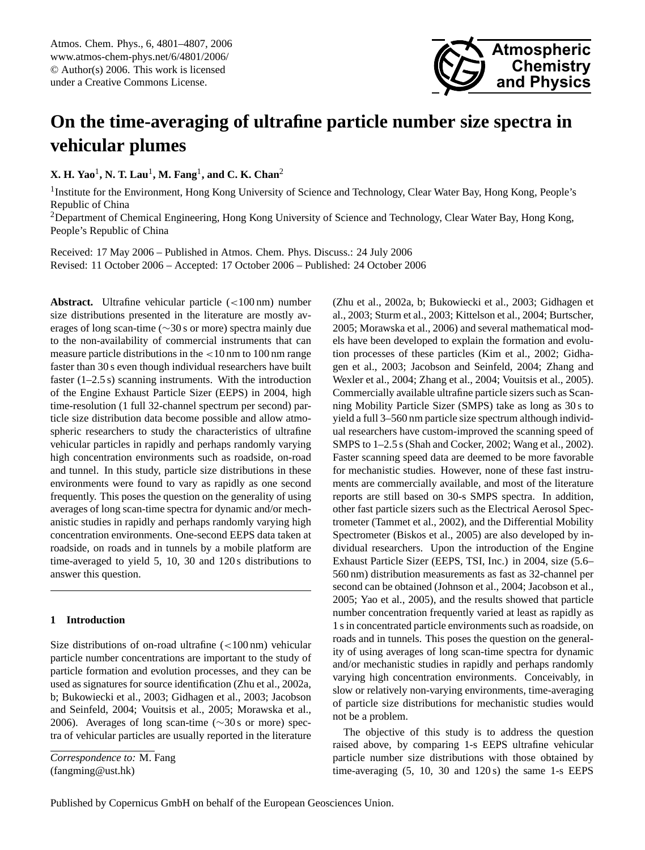Atmos. Chem. Phys., 6, 4801[–4807,](#page-0-0) 2006 www.atmos-chem-phys.net/6/4801/2006/ © Author(s) 2006. This work is licensed under a Creative Commons License.



# **On the time-averaging of ultrafine particle number size spectra in vehicular plumes**

**X. H. Yao**<sup>1</sup> **, N. T. Lau**<sup>1</sup> **, M. Fang**<sup>1</sup> **, and C. K. Chan**<sup>2</sup>

<sup>1</sup> Institute for the Environment, Hong Kong University of Science and Technology, Clear Water Bay, Hong Kong, People's Republic of China

<sup>2</sup>Department of Chemical Engineering, Hong Kong University of Science and Technology, Clear Water Bay, Hong Kong, People's Republic of China

Received: 17 May 2006 – Published in Atmos. Chem. Phys. Discuss.: 24 July 2006 Revised: 11 October 2006 – Accepted: 17 October 2006 – Published: 24 October 2006

**Abstract.** Ultrafine vehicular particle (<100 nm) number size distributions presented in the literature are mostly averages of long scan-time (∼30 s or more) spectra mainly due to the non-availability of commercial instruments that can measure particle distributions in the <10 nm to 100 nm range faster than 30 s even though individual researchers have built faster  $(1-2.5 s)$  scanning instruments. With the introduction of the Engine Exhaust Particle Sizer (EEPS) in 2004, high time-resolution (1 full 32-channel spectrum per second) particle size distribution data become possible and allow atmospheric researchers to study the characteristics of ultrafine vehicular particles in rapidly and perhaps randomly varying high concentration environments such as roadside, on-road and tunnel. In this study, particle size distributions in these environments were found to vary as rapidly as one second frequently. This poses the question on the generality of using averages of long scan-time spectra for dynamic and/or mechanistic studies in rapidly and perhaps randomly varying high concentration environments. One-second EEPS data taken at roadside, on roads and in tunnels by a mobile platform are time-averaged to yield 5, 10, 30 and 120 s distributions to answer this question.

#### **1 Introduction**

Size distributions of on-road ultrafine  $\left($  <100 nm) vehicular particle number concentrations are important to the study of particle formation and evolution processes, and they can be used as signatures for source identification (Zhu et al., 2002a, b; Bukowiecki et al., 2003; Gidhagen et al., 2003; Jacobson and Seinfeld, 2004; Vouitsis et al., 2005; Morawska et al., 2006). Averages of long scan-time (∼30 s or more) spectra of vehicular particles are usually reported in the literature

<span id="page-0-0"></span>*Correspondence to:* M. Fang (fangming@ust.hk)

(Zhu et al., 2002a, b; Bukowiecki et al., 2003; Gidhagen et al., 2003; Sturm et al., 2003; Kittelson et al., 2004; Burtscher, 2005; Morawska et al., 2006) and several mathematical models have been developed to explain the formation and evolution processes of these particles (Kim et al., 2002; Gidhagen et al., 2003; Jacobson and Seinfeld, 2004; Zhang and Wexler et al., 2004; Zhang et al., 2004; Vouitsis et al., 2005). Commercially available ultrafine particle sizers such as Scanning Mobility Particle Sizer (SMPS) take as long as 30 s to yield a full 3–560 nm particle size spectrum although individual researchers have custom-improved the scanning speed of SMPS to 1–2.5 s (Shah and Cocker, 2002; Wang et al., 2002). Faster scanning speed data are deemed to be more favorable for mechanistic studies. However, none of these fast instruments are commercially available, and most of the literature reports are still based on 30-s SMPS spectra. In addition, other fast particle sizers such as the Electrical Aerosol Spectrometer (Tammet et al., 2002), and the Differential Mobility Spectrometer (Biskos et al., 2005) are also developed by individual researchers. Upon the introduction of the Engine Exhaust Particle Sizer (EEPS, TSI, Inc.) in 2004, size (5.6– 560 nm) distribution measurements as fast as 32-channel per second can be obtained (Johnson et al., 2004; Jacobson et al., 2005; Yao et al., 2005), and the results showed that particle number concentration frequently varied at least as rapidly as 1 s in concentrated particle environments such as roadside, on roads and in tunnels. This poses the question on the generality of using averages of long scan-time spectra for dynamic and/or mechanistic studies in rapidly and perhaps randomly varying high concentration environments. Conceivably, in slow or relatively non-varying environments, time-averaging of particle size distributions for mechanistic studies would not be a problem.

The objective of this study is to address the question raised above, by comparing 1-s EEPS ultrafine vehicular particle number size distributions with those obtained by time-averaging (5, 10, 30 and 120 s) the same 1-s EEPS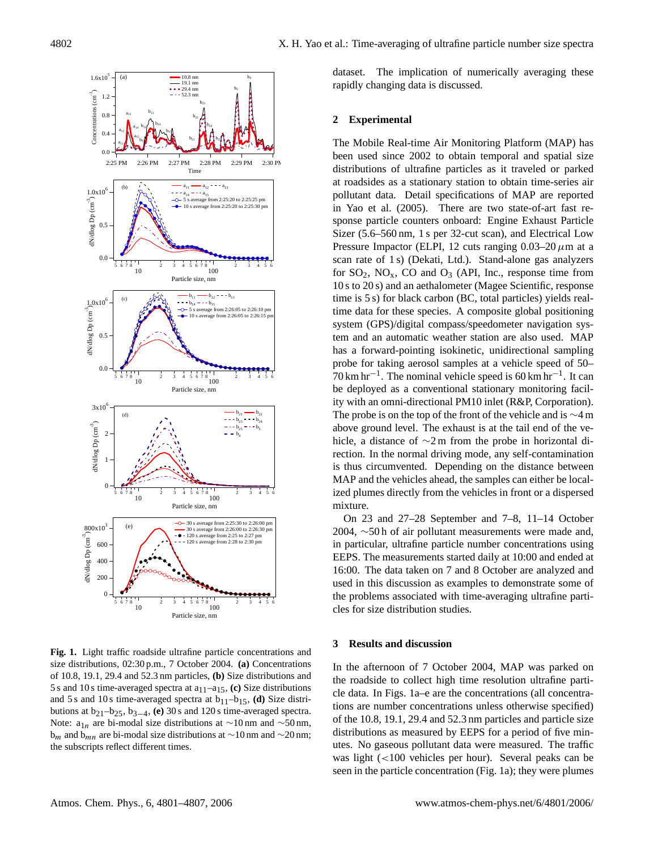

**Fig. 1.** Light traffic roadside ultrafine particle concentrations and size distributions, 02:30 p.m., 7 October 2004. **(a)** Concentrations of 10.8, 19.1, 29.4 and 52.3 nm particles, **(b)** Size distributions and 5 s and 10 s time-averaged spectra at  $a_{11}-a_{15}$ , (c) Size distributions and 5 s and 10 s time-averaged spectra at  $b_{11}-b_{15}$ , **(d)** Size distributions at b21–b25, b3−4, **(e)** 30 s and 120 s time-averaged spectra. Note:  $a_{1n}$  are bi-modal size distributions at ∼10 nm and ∼50 nm, b<sub>m</sub> and b<sub>mn</sub> are bi-modal size distributions at ∼10 nm and ∼20 nm; the subscripts reflect different times.

dataset. The implication of numerically averaging these rapidly changing data is discussed.

## **2 Experimental**

The Mobile Real-time Air Monitoring Platform (MAP) has been used since 2002 to obtain temporal and spatial size distributions of ultrafine particles as it traveled or parked at roadsides as a stationary station to obtain time-series air pollutant data. Detail specifications of MAP are reported in Yao et al. (2005). There are two state-of-art fast response particle counters onboard: Engine Exhaust Particle Sizer (5.6–560 nm, 1 s per 32-cut scan), and Electrical Low Pressure Impactor (ELPI, 12 cuts ranging  $0.03-20 \mu m$  at a scan rate of 1 s) (Dekati, Ltd.). Stand-alone gas analyzers for  $SO_2$ ,  $NO_x$ ,  $CO$  and  $O_3$  (API, Inc., response time from 10 s to 20 s) and an aethalometer (Magee Scientific, response time is 5 s) for black carbon (BC, total particles) yields realtime data for these species. A composite global positioning system (GPS)/digital compass/speedometer navigation system and an automatic weather station are also used. MAP has a forward-pointing isokinetic, unidirectional sampling probe for taking aerosol samples at a vehicle speed of 50–  $70 \text{ km hr}^{-1}$ . The nominal vehicle speed is 60 km hr<sup>-1</sup>. It can be deployed as a conventional stationary monitoring facility with an omni-directional PM10 inlet (R&P, Corporation). The probe is on the top of the front of the vehicle and is ∼4 m above ground level. The exhaust is at the tail end of the vehicle, a distance of ∼2 m from the probe in horizontal direction. In the normal driving mode, any self-contamination is thus circumvented. Depending on the distance between MAP and the vehicles ahead, the samples can either be localized plumes directly from the vehicles in front or a dispersed mixture.

On 23 and 27–28 September and 7–8, 11–14 October 2004, ∼50 h of air pollutant measurements were made and, in particular, ultrafine particle number concentrations using EEPS. The measurements started daily at 10:00 and ended at 16:00. The data taken on 7 and 8 October are analyzed and used in this discussion as examples to demonstrate some of the problems associated with time-averaging ultrafine particles for size distribution studies.

## **3 Results and discussion**

In the afternoon of 7 October 2004, MAP was parked on the roadside to collect high time resolution ultrafine particle data. In Figs. 1a–e are the concentrations (all concentrations are number concentrations unless otherwise specified) of the 10.8, 19.1, 29.4 and 52.3 nm particles and particle size distributions as measured by EEPS for a period of five minutes. No gaseous pollutant data were measured. The traffic was light (<100 vehicles per hour). Several peaks can be seen in the particle concentration (Fig. 1a); they were plumes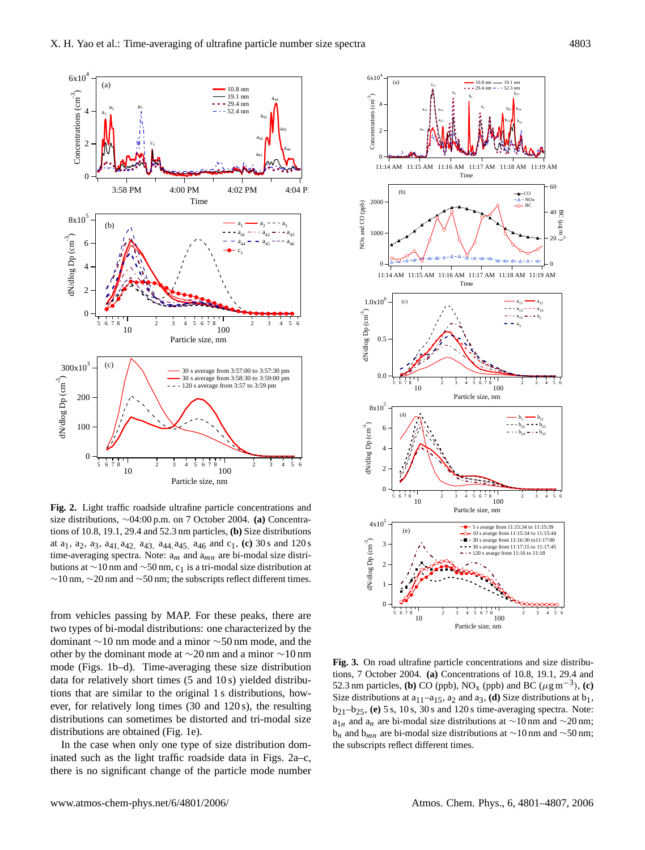

**Fig. 2.** Light traffic roadside ultrafine particle concentrations and size distributions, ∼04:00 p.m. on 7 October 2004. **(a)** Concentrations of 10.8, 19.1, 29.4 and 52.3 nm particles, **(b)** Size distributions at  $a_1$ ,  $a_2$ ,  $a_3$ ,  $a_{41}$ ,  $a_{42}$ ,  $a_{43}$ ,  $a_{44}$ ,  $a_{45}$ ,  $a_{46}$  and  $c_1$ , **(c)** 30 s and 120 s time-averaging spectra. Note:  $a_m$  and  $a_{mn}$  are bi-modal size distributions at ∼10 nm and ∼50 nm, c<sub>1</sub> is a tri-modal size distribution at ∼10 nm, ∼20 nm and ∼50 nm; the subscripts reflect different times.

from vehicles passing by MAP. For these peaks, there are two types of bi-modal distributions: one characterized by the dominant ∼10 nm mode and a minor ∼50 nm mode, and the other by the dominant mode at ∼20 nm and a minor ∼10 nm mode (Figs. 1b–d). Time-averaging these size distribution data for relatively short times (5 and 10 s) yielded distributions that are similar to the original 1 s distributions, however, for relatively long times (30 and 120 s), the resulting distributions can sometimes be distorted and tri-modal size distributions are obtained (Fig. 1e).

In the case when only one type of size distribution dominated such as the light traffic roadside data in Figs. 2a–c, there is no significant change of the particle mode number



**Fig. 3.** On road ultrafine particle concentrations and size distributions, 7 October 2004. **(a)** Concentrations of 10.8, 19.1, 29.4 and 52.3 nm particles, **(b)** CO (ppb), NO<sub>x</sub> (ppb) and BC ( $\mu$ g m<sup>-3</sup>), **(c)** Size distributions at  $a_{11}-a_{15}$ ,  $a_2$  and  $a_3$ , **(d)** Size distributions at  $b_1$ , b21–b25, **(e)** 5 s, 10 s, 30 s and 120 s time-averaging spectra. Note:  $a_{1n}$  and  $a_n$  are bi-modal size distributions at ∼10 nm and ∼20 nm;  $b_n$  and  $b_{mn}$  are bi-modal size distributions at ∼10 nm and ∼50 nm; the subscripts reflect different times.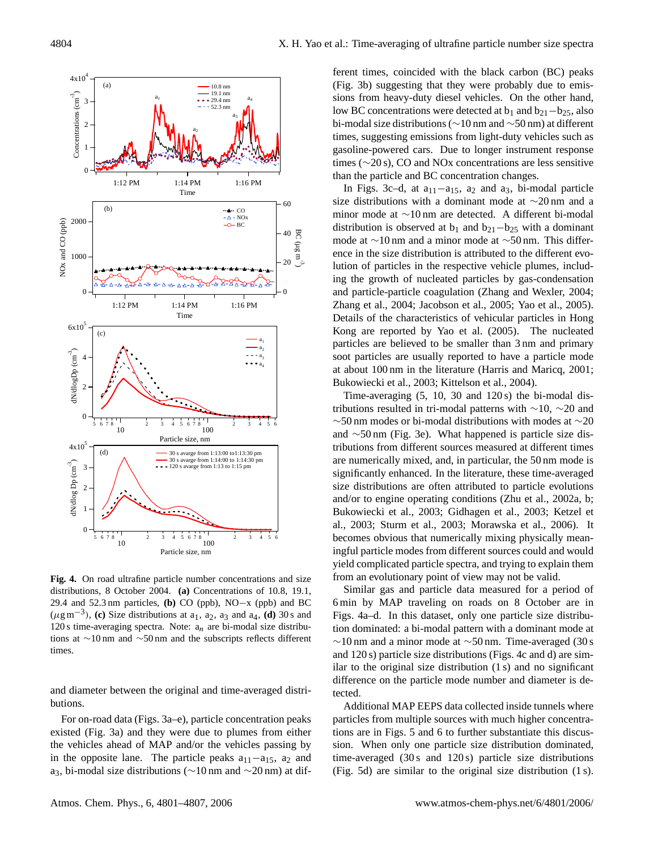

**Fig. 4.** On road ultrafine particle number concentrations and size distributions, 8 October 2004. **(a)** Concentrations of 10.8, 19.1, 29.4 and 52.3 nm particles, **(b)** CO (ppb), NO−x (ppb) and BC  $(\mu g \text{ m}^{-3})$ , **(c)** Size distributions at  $a_1$ ,  $a_2$ ,  $a_3$  and  $a_4$ , **(d)** 30 s and 120 s time-averaging spectra. Note:  $a_n$  are bi-modal size distributions at ∼10 nm and ∼50 nm and the subscripts reflects different times

and diameter between the original and time-averaged distributions.

For on-road data (Figs. 3a–e), particle concentration peaks existed (Fig. 3a) and they were due to plumes from either the vehicles ahead of MAP and/or the vehicles passing by in the opposite lane. The particle peaks  $a_{11}-a_{15}$ ,  $a_2$  and a3, bi-modal size distributions (∼10 nm and ∼20 nm) at different times, coincided with the black carbon (BC) peaks (Fig. 3b) suggesting that they were probably due to emissions from heavy-duty diesel vehicles. On the other hand, low BC concentrations were detected at  $b_1$  and  $b_{21}-b_{25}$ , also bi-modal size distributions (∼10 nm and ∼50 nm) at different times, suggesting emissions from light-duty vehicles such as gasoline-powered cars. Due to longer instrument response times (∼20 s), CO and NOx concentrations are less sensitive than the particle and BC concentration changes.

In Figs. 3c–d, at  $a_{11}$ – $a_{15}$ ,  $a_2$  and  $a_3$ , bi-modal particle size distributions with a dominant mode at ∼20 nm and a minor mode at ∼10 nm are detected. A different bi-modal distribution is observed at  $b_1$  and  $b_{21}-b_{25}$  with a dominant mode at ∼10 nm and a minor mode at ∼50 nm. This difference in the size distribution is attributed to the different evolution of particles in the respective vehicle plumes, including the growth of nucleated particles by gas-condensation and particle-particle coagulation (Zhang and Wexler, 2004; Zhang et al., 2004; Jacobson et al., 2005; Yao et al., 2005). Details of the characteristics of vehicular particles in Hong Kong are reported by Yao et al. (2005). The nucleated particles are believed to be smaller than 3 nm and primary soot particles are usually reported to have a particle mode at about 100 nm in the literature (Harris and Maricq, 2001; Bukowiecki et al., 2003; Kittelson et al., 2004).

Time-averaging (5, 10, 30 and 120 s) the bi-modal distributions resulted in tri-modal patterns with ∼10, ∼20 and ∼50 nm modes or bi-modal distributions with modes at ∼20 and ∼50 nm (Fig. 3e). What happened is particle size distributions from different sources measured at different times are numerically mixed, and, in particular, the 50 nm mode is significantly enhanced. In the literature, these time-averaged size distributions are often attributed to particle evolutions and/or to engine operating conditions (Zhu et al., 2002a, b; Bukowiecki et al., 2003; Gidhagen et al., 2003; Ketzel et al., 2003; Sturm et al., 2003; Morawska et al., 2006). It becomes obvious that numerically mixing physically meaningful particle modes from different sources could and would yield complicated particle spectra, and trying to explain them from an evolutionary point of view may not be valid.

Similar gas and particle data measured for a period of 6 min by MAP traveling on roads on 8 October are in Figs. 4a–d. In this dataset, only one particle size distribution dominated: a bi-modal pattern with a dominant mode at  $∼10$  nm and a minor mode at  $∼50$  nm. Time-averaged (30 s and 120 s) particle size distributions (Figs. 4c and d) are similar to the original size distribution (1 s) and no significant difference on the particle mode number and diameter is detected.

Additional MAP EEPS data collected inside tunnels where particles from multiple sources with much higher concentrations are in Figs. 5 and 6 to further substantiate this discussion. When only one particle size distribution dominated, time-averaged  $(30 s \text{ and } 120 s)$  particle size distributions (Fig. 5d) are similar to the original size distribution (1 s).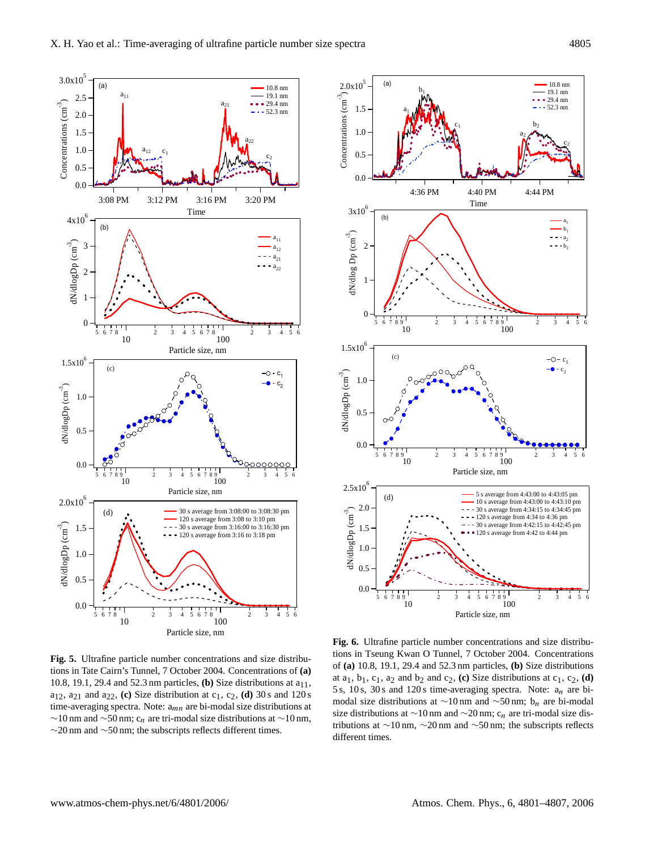

**Fig. 5.** Ultrafine particle number concentrations and size distributions in Tate Cairn's Tunnel, 7 October 2004. Concentrations of **(a)** 10.8, 19.1, 29.4 and 52.3 nm particles, **(b)** Size distributions at  $a_{11}$ ,  $a_{12}$ ,  $a_{21}$  and  $a_{22}$ , **(c)** Size distribution at  $c_1$ ,  $c_2$ , **(d)** 30 s and 120 s time-averaging spectra. Note:  $a_{mn}$  are bi-modal size distributions at  $∼10$  nm and  $∼50$  nm; c<sub>n</sub> are tri-modal size distributions at  $∼10$  nm, ∼20 nm and ∼50 nm; the subscripts reflects different times.



**Fig. 6.** Ultrafine particle number concentrations and size distributions in Tseung Kwan O Tunnel, 7 October 2004. Concentrations of **(a)** 10.8, 19.1, 29.4 and 52.3 nm particles, **(b)** Size distributions at  $a_1$ ,  $b_1$ ,  $c_1$ ,  $a_2$  and  $b_2$  and  $c_2$ , **(c)** Size distributions at  $c_1$ ,  $c_2$ , **(d)** 5 s, 10 s, 30 s and 120 s time-averaging spectra. Note:  $a_n$  are bimodal size distributions at ∼10 nm and ~50 nm; b<sub>n</sub> are bi-modal size distributions at  $\sim$ 10 nm and  $\sim$ 20 nm; c<sub>n</sub> are tri-modal size distributions at ∼10 nm, ∼20 nm and ∼50 nm; the subscripts reflects different times.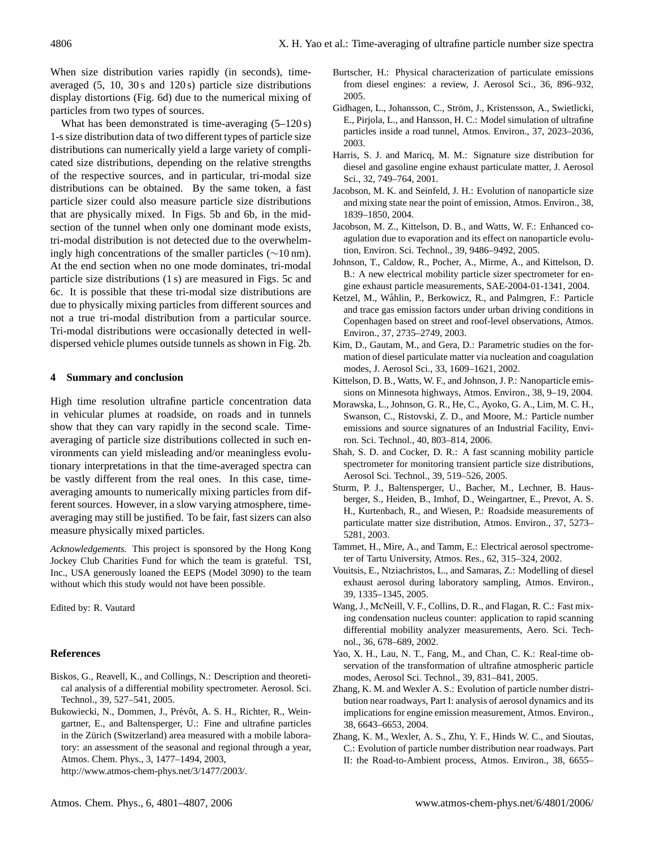When size distribution varies rapidly (in seconds), timeaveraged (5, 10, 30 s and 120 s) particle size distributions display distortions (Fig. 6d) due to the numerical mixing of particles from two types of sources.

What has been demonstrated is time-averaging  $(5-120 s)$ 1-s size distribution data of two different types of particle size distributions can numerically yield a large variety of complicated size distributions, depending on the relative strengths of the respective sources, and in particular, tri-modal size distributions can be obtained. By the same token, a fast particle sizer could also measure particle size distributions that are physically mixed. In Figs. 5b and 6b, in the midsection of the tunnel when only one dominant mode exists, tri-modal distribution is not detected due to the overwhelmingly high concentrations of the smaller particles (∼10 nm). At the end section when no one mode dominates, tri-modal particle size distributions (1 s) are measured in Figs. 5c and 6c. It is possible that these tri-modal size distributions are due to physically mixing particles from different sources and not a true tri-modal distribution from a particular source. Tri-modal distributions were occasionally detected in welldispersed vehicle plumes outside tunnels as shown in Fig. 2b.

### **4 Summary and conclusion**

High time resolution ultrafine particle concentration data in vehicular plumes at roadside, on roads and in tunnels show that they can vary rapidly in the second scale. Timeaveraging of particle size distributions collected in such environments can yield misleading and/or meaningless evolutionary interpretations in that the time-averaged spectra can be vastly different from the real ones. In this case, timeaveraging amounts to numerically mixing particles from different sources. However, in a slow varying atmosphere, timeaveraging may still be justified. To be fair, fast sizers can also measure physically mixed particles.

*Acknowledgements.* This project is sponsored by the Hong Kong Jockey Club Charities Fund for which the team is grateful. TSI, Inc., USA generously loaned the EEPS (Model 3090) to the team without which this study would not have been possible.

Edited by: R. Vautard

#### **References**

- Biskos, G., Reavell, K., and Collings, N.: Description and theoretical analysis of a differential mobility spectrometer. Aerosol. Sci. Technol., 39, 527–541, 2005.
- Bukowiecki, N., Dommen, J., Prévôt, A. S. H., Richter, R., Weingartner, E., and Baltensperger, U.: Fine and ultrafine particles in the Zürich (Switzerland) area measured with a mobile laboratory: an assessment of the seasonal and regional through a year, Atmos. Chem. Phys., 3, 1477–1494, 2003, [http://www.atmos-chem-phys.net/3/1477/2003/.](http://www.atmos-chem-phys.net/3/1477/2003/)

Burtscher, H.: Physical characterization of particulate emissions from diesel engines: a review, J. Aerosol Sci., 36, 896–932, 2005.

- Gidhagen, L., Johansson, C., Ström, J., Kristensson, A., Swietlicki, E., Pirjola, L., and Hansson, H. C.: Model simulation of ultrafine particles inside a road tunnel, Atmos. Environ., 37, 2023–2036, 2003.
- Harris, S. J. and Maricq, M. M.: Signature size distribution for diesel and gasoline engine exhaust particulate matter, J. Aerosol Sci., 32, 749–764, 2001.
- Jacobson, M. K. and Seinfeld, J. H.: Evolution of nanoparticle size and mixing state near the point of emission, Atmos. Environ., 38, 1839–1850, 2004.
- Jacobson, M. Z., Kittelson, D. B., and Watts, W. F.: Enhanced coagulation due to evaporation and its effect on nanoparticle evolution, Environ. Sci. Technol., 39, 9486–9492, 2005.
- Johnson, T., Caldow, R., Pocher, A., Mirme, A., and Kittelson, D. B.: A new electrical mobility particle sizer spectrometer for engine exhaust particle measurements, SAE-2004-01-1341, 2004.
- Ketzel, M., Wåhlin, P., Berkowicz, R., and Palmgren, F.: Particle and trace gas emission factors under urban driving conditions in Copenhagen based on street and roof-level observations, Atmos. Environ., 37, 2735–2749, 2003.
- Kim, D., Gautam, M., and Gera, D.: Parametric studies on the formation of diesel particulate matter via nucleation and coagulation modes, J. Aerosol Sci., 33, 1609–1621, 2002.
- Kittelson, D. B., Watts, W. F., and Johnson, J. P.: Nanoparticle emissions on Minnesota highways, Atmos. Environ., 38, 9–19, 2004.
- Morawska, L., Johnson, G. R., He, C., Ayoko, G. A., Lim, M. C. H., Swanson, C., Ristovski, Z. D., and Moore, M.: Particle number emissions and source signatures of an Industrial Facility, Environ. Sci. Technol., 40, 803–814, 2006.
- Shah, S. D. and Cocker, D. R.: A fast scanning mobility particle spectrometer for monitoring transient particle size distributions, Aerosol Sci. Technol., 39, 519–526, 2005.
- Sturm, P. J., Baltensperger, U., Bacher, M., Lechner, B. Hausberger, S., Heiden, B., Imhof, D., Weingartner, E., Prevot, A. S. H., Kurtenbach, R., and Wiesen, P.: Roadside measurements of particulate matter size distribution, Atmos. Environ., 37, 5273– 5281, 2003.
- Tammet, H., Mire, A., and Tamm, E.: Electrical aerosol spectrometer of Tartu University, Atmos. Res., 62, 315–324, 2002.
- Vouitsis, E., Ntziachristos, L., and Samaras, Z.: Modelling of diesel exhaust aerosol during laboratory sampling, Atmos. Environ., 39, 1335–1345, 2005.
- Wang, J., McNeill, V. F., Collins, D. R., and Flagan, R. C.: Fast mixing condensation nucleus counter: application to rapid scanning differential mobility analyzer measurements, Aero. Sci. Technol., 36, 678–689, 2002.
- Yao, X. H., Lau, N. T., Fang, M., and Chan, C. K.: Real-time observation of the transformation of ultrafine atmospheric particle modes, Aerosol Sci. Technol., 39, 831–841, 2005.
- Zhang, K. M. and Wexler A. S.: Evolution of particle number distribution near roadways, Part I: analysis of aerosol dynamics and its implications for engine emission measurement, Atmos. Environ., 38, 6643–6653, 2004.
- Zhang, K. M., Wexler, A. S., Zhu, Y. F., Hinds W. C., and Sioutas, C.: Evolution of particle number distribution near roadways. Part II: the Road-to-Ambient process, Atmos. Environ., 38, 6655–